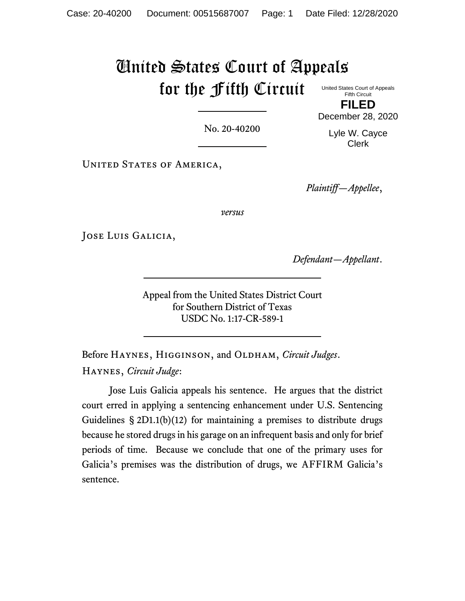# United States Court of Appeals for the Fifth Circuit

United States Court of Appeals **Fifth Circuit FILED**

No. 20-40200

Lyle W. Cayce Clerk

December 28, 2020

UNITED STATES OF AMERICA,

*Plaintiff—Appellee*,

*versus*

JOSE LUIS GALICIA,

*Defendant—Appellant*.

Appeal from the United States District Court for Southern District of Texas USDC No. 1:17-CR-589-1

Before HAYNES, HIGGINSON, and OLDHAM, *Circuit Judges*. Haynes, *Circuit Judge*:

Jose Luis Galicia appeals his sentence. He argues that the district court erred in applying a sentencing enhancement under U.S. Sentencing Guidelines § 2D1.1(b)(12) for maintaining a premises to distribute drugs because he stored drugs in his garage on an infrequent basis and only for brief periods of time. Because we conclude that one of the primary uses for Galicia's premises was the distribution of drugs, we AFFIRM Galicia's sentence.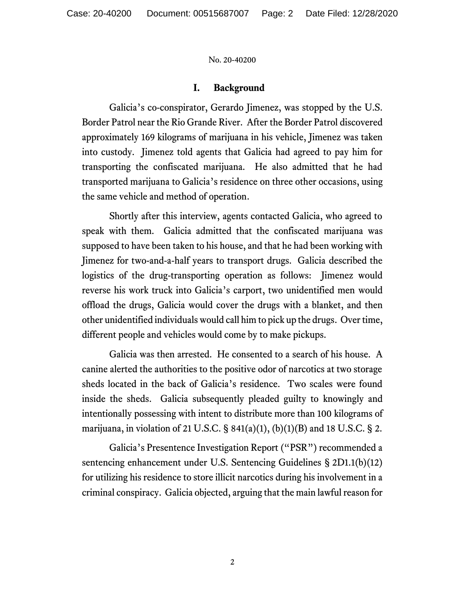## **I. Background**

Galicia's co-conspirator, Gerardo Jimenez, was stopped by the U.S. Border Patrol near the Rio Grande River. After the Border Patrol discovered approximately 169 kilograms of marijuana in his vehicle, Jimenez was taken into custody. Jimenez told agents that Galicia had agreed to pay him for transporting the confiscated marijuana. He also admitted that he had transported marijuana to Galicia's residence on three other occasions, using the same vehicle and method of operation.

Shortly after this interview, agents contacted Galicia, who agreed to speak with them. Galicia admitted that the confiscated marijuana was supposed to have been taken to his house, and that he had been working with Jimenez for two-and-a-half years to transport drugs. Galicia described the logistics of the drug-transporting operation as follows: Jimenez would reverse his work truck into Galicia's carport, two unidentified men would offload the drugs, Galicia would cover the drugs with a blanket, and then other unidentified individuals would call him to pick up the drugs. Over time, different people and vehicles would come by to make pickups.

Galicia was then arrested. He consented to a search of his house. A canine alerted the authorities to the positive odor of narcotics at two storage sheds located in the back of Galicia's residence. Two scales were found inside the sheds. Galicia subsequently pleaded guilty to knowingly and intentionally possessing with intent to distribute more than 100 kilograms of marijuana, in violation of 21 U.S.C.  $\S$  841(a)(1), (b)(1)(B) and 18 U.S.C.  $\S$  2.

Galicia's Presentence Investigation Report ("PSR") recommended a sentencing enhancement under U.S. Sentencing Guidelines § 2D1.1(b)(12) for utilizing his residence to store illicit narcotics during his involvement in a criminal conspiracy. Galicia objected, arguing that the main lawful reason for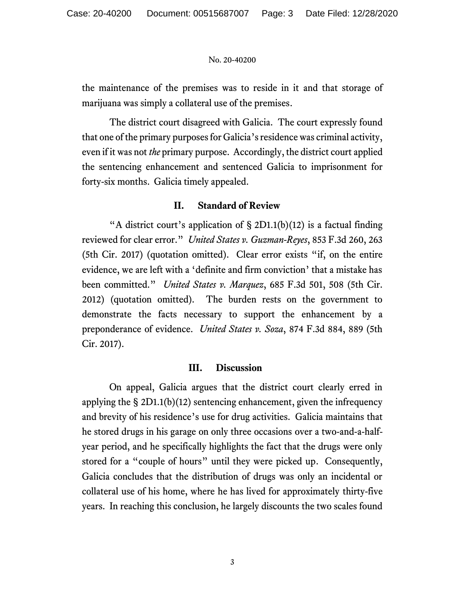the maintenance of the premises was to reside in it and that storage of marijuana was simply a collateral use of the premises.

The district court disagreed with Galicia. The court expressly found that one of the primary purposes for Galicia's residence was criminal activity, even if it was not *the* primary purpose. Accordingly, the district court applied the sentencing enhancement and sentenced Galicia to imprisonment for forty-six months. Galicia timely appealed.

## **II. Standard of Review**

"A district court's application of  $\S 2D1.1(b)(12)$  is a factual finding reviewed for clear error." *United States v. Guzman-Reyes*, 853 F.3d 260, 263 (5th Cir. 2017) (quotation omitted). Clear error exists "if, on the entire evidence, we are left with a 'definite and firm conviction' that a mistake has been committed." *United States v. Marquez*, 685 F.3d 501, 508 (5th Cir. 2012) (quotation omitted). The burden rests on the government to demonstrate the facts necessary to support the enhancement by a preponderance of evidence. *United States v. Soza*, 874 F.3d 884, 889 (5th Cir. 2017).

## **III. Discussion**

On appeal, Galicia argues that the district court clearly erred in applying the  $\S 2D1.1(b)(12)$  sentencing enhancement, given the infrequency and brevity of his residence's use for drug activities. Galicia maintains that he stored drugs in his garage on only three occasions over a two-and-a-halfyear period, and he specifically highlights the fact that the drugs were only stored for a "couple of hours" until they were picked up. Consequently, Galicia concludes that the distribution of drugs was only an incidental or collateral use of his home, where he has lived for approximately thirty-five years. In reaching this conclusion, he largely discounts the two scales found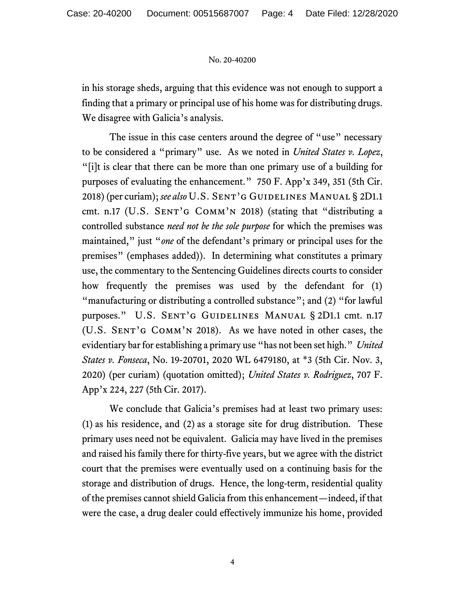in his storage sheds, arguing that this evidence was not enough to support a finding that a primary or principal use of his home was for distributing drugs. We disagree with Galicia's analysis.

The issue in this case centers around the degree of "use" necessary to be considered a "primary" use. As we noted in *United States v. Lopez*, "[i]t is clear that there can be more than one primary use of a building for purposes of evaluating the enhancement." 750 F. App'x 349, 351 (5th Cir. 2018) (per curiam); see also U.S. SENT'G GUIDELINES MANUAL § 2D1.1 cmt. n.17 (U.S. SENT'G  $Comm'N$  2018) (stating that "distributing a controlled substance *need not be the sole purpose* for which the premises was maintained," just "*one* of the defendant's primary or principal uses for the premises" (emphases added)). In determining what constitutes a primary use, the commentary to the Sentencing Guidelines directs courts to consider how frequently the premises was used by the defendant for (1) "manufacturing or distributing a controlled substance"; and (2) "for lawful purposes." U.S. SENT'G GUIDELINES MANUAL § 2D1.1 cmt. n.17 (U.S. Sent'g Comm'n 2018). As we have noted in other cases, the evidentiary bar for establishing a primary use "has not been set high." *United States v. Fonseca*, No. 19-20701, 2020 WL 6479180, at \*3 (5th Cir. Nov. 3, 2020) (per curiam) (quotation omitted); *United States v. Rodriguez*, 707 F. App'x 224, 227 (5th Cir. 2017).

We conclude that Galicia's premises had at least two primary uses: (1) as his residence, and (2) as a storage site for drug distribution. These primary uses need not be equivalent. Galicia may have lived in the premises and raised his family there for thirty-five years, but we agree with the district court that the premises were eventually used on a continuing basis for the storage and distribution of drugs. Hence, the long-term, residential quality of the premises cannot shield Galicia from this enhancement—indeed, if that were the case, a drug dealer could effectively immunize his home, provided